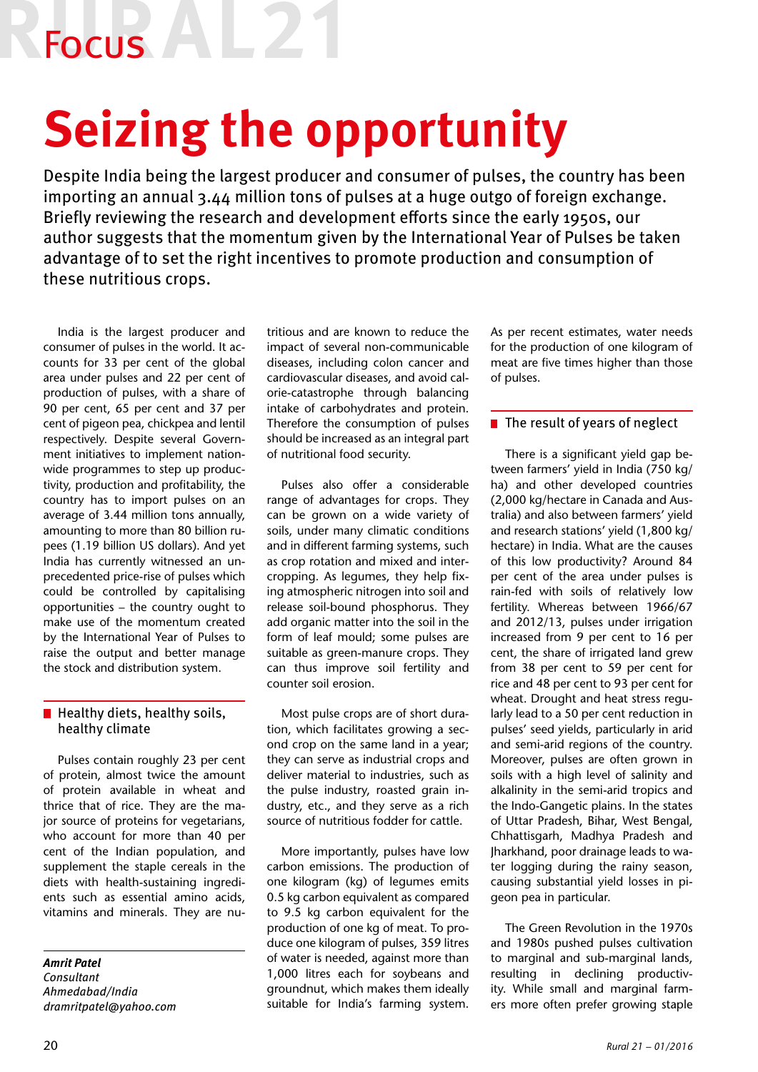Focus

# **Seizing the opportunity**

Despite India being the largest producer and consumer of pulses, the country has been importing an annual 3.44 million tons of pulses at a huge outgo of foreign exchange. Briefly reviewing the research and development efforts since the early 1950s, our author suggests that the momentum given by the International Year of Pulses be taken advantage of to set the right incentives to promote production and consumption of these nutritious crops.

India is the largest producer and consumer of pulses in the world. It accounts for 33 per cent of the global area under pulses and 22 per cent of production of pulses, with a share of 90 per cent, 65 per cent and 37 per cent of pigeon pea, chickpea and lentil respectively. Despite several Government initiatives to implement nationwide programmes to step up productivity, production and profitability, the country has to import pulses on an average of 3.44 million tons annually, amounting to more than 80 billion rupees (1.19 billion US dollars). And yet India has currently witnessed an unprecedented price-rise of pulses which could be controlled by capitalising opportunities – the country ought to make use of the momentum created by the International Year of Pulses to raise the output and better manage the stock and distribution system.

### $\blacksquare$  Healthy diets, healthy soils, healthy climate

Pulses contain roughly 23 per cent of protein, almost twice the amount of protein available in wheat and thrice that of rice. They are the major source of proteins for vegetarians, who account for more than 40 per cent of the Indian population, and supplement the staple cereals in the diets with health-sustaining ingredients such as essential amino acids, vitamins and minerals. They are nu-

*Amrit Patel Consultant Ahmedabad/India dramritpatel@yahoo.com* tritious and are known to reduce the impact of several non-communicable diseases, including colon cancer and cardiovascular diseases, and avoid calorie-catastrophe through balancing intake of carbohydrates and protein. Therefore the consumption of pulses should be increased as an integral part of nutritional food security.

Pulses also offer a considerable range of advantages for crops. They can be grown on a wide variety of soils, under many climatic conditions and in different farming systems, such as crop rotation and mixed and intercropping. As legumes, they help fixing atmospheric nitrogen into soil and release soil-bound phosphorus. They add organic matter into the soil in the form of leaf mould; some pulses are suitable as green-manure crops. They can thus improve soil fertility and counter soil erosion.

Most pulse crops are of short duration, which facilitates growing a second crop on the same land in a year; they can serve as industrial crops and deliver material to industries, such as the pulse industry, roasted grain industry, etc., and they serve as a rich source of nutritious fodder for cattle.

More importantly, pulses have low carbon emissions. The production of one kilogram (kg) of legumes emits 0.5 kg carbon equivalent as compared to 9.5 kg carbon equivalent for the production of one kg of meat. To produce one kilogram of pulses, 359 litres of water is needed, against more than 1,000 litres each for soybeans and groundnut, which makes them ideally suitable for India's farming system.

As per recent estimates, water needs for the production of one kilogram of meat are five times higher than those of pulses.

## $\blacksquare$  The result of years of neglect

There is a significant yield gap between farmers' yield in India (750 kg/ ha) and other developed countries (2,000 kg/hectare in Canada and Australia) and also between farmers' yield and research stations' yield (1,800 kg/ hectare) in India. What are the causes of this low productivity? Around 84 per cent of the area under pulses is rain-fed with soils of relatively low fertility. Whereas between 1966/67 and 2012/13, pulses under irrigation increased from 9 per cent to 16 per cent, the share of irrigated land grew from 38 per cent to 59 per cent for rice and 48 per cent to 93 per cent for wheat. Drought and heat stress regularly lead to a 50 per cent reduction in pulses' seed yields, particularly in arid and semi-arid regions of the country. Moreover, pulses are often grown in soils with a high level of salinity and alkalinity in the semi-arid tropics and the Indo-Gangetic plains. In the states of Uttar Pradesh, Bihar, West Bengal, Chhattisgarh, Madhya Pradesh and Jharkhand, poor drainage leads to water logging during the rainy season, causing substantial yield losses in pigeon pea in particular.

The Green Revolution in the 1970s and 1980s pushed pulses cultivation to marginal and sub-marginal lands, resulting in declining productivity. While small and marginal farmers more often prefer growing staple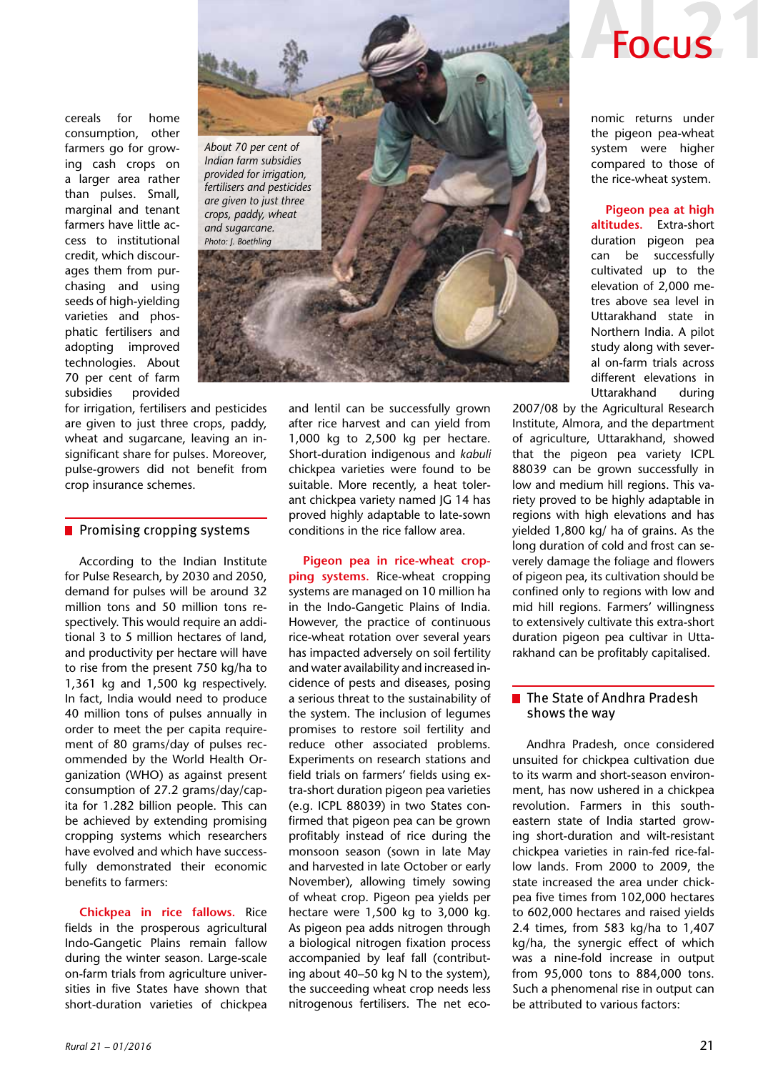cereals for home consumption, other farmers go for growing cash crops on a larger area rather than pulses. Small, marginal and tenant farmers have little access to institutional credit, which discourages them from purchasing and using seeds of high-yielding varieties and phosphatic fertilisers and adopting improved technologies. About 70 per cent of farm subsidies provided

for irrigation, fertilisers and pesticides are given to just three crops, paddy, wheat and sugarcane, leaving an insignificant share for pulses. Moreover, pulse-growers did not benefit from crop insurance schemes.

### $\blacksquare$  Promising cropping systems

According to the Indian Institute for Pulse Research, by 2030 and 2050, demand for pulses will be around 32 million tons and 50 million tons respectively. This would require an additional 3 to 5 million hectares of land, and productivity per hectare will have to rise from the present 750 kg/ha to 1,361 kg and 1,500 kg respectively. In fact, India would need to produce 40 million tons of pulses annually in order to meet the per capita requirement of 80 grams/day of pulses recommended by the World Health Organization (WHO) as against present consumption of 27.2 grams/day/capita for 1.282 billion people. This can be achieved by extending promising cropping systems which researchers have evolved and which have successfully demonstrated their economic benefits to farmers:

**Chickpea in rice fallows.** Rice fields in the prosperous agricultural Indo-Gangetic Plains remain fallow during the winter season. Large-scale on-farm trials from agriculture universities in five States have shown that short-duration varieties of chickpea



and lentil can be successfully grown after rice harvest and can yield from 1,000 kg to 2,500 kg per hectare. Short-duration indigenous and *kabuli* chickpea varieties were found to be suitable. More recently, a heat tolerant chickpea variety named JG 14 has proved highly adaptable to late-sown conditions in the rice fallow area.

**Pigeon pea in rice-wheat cropping systems.** Rice-wheat cropping systems are managed on 10 million ha in the Indo-Gangetic Plains of India. However, the practice of continuous rice-wheat rotation over several years has impacted adversely on soil fertility and water availability and increased incidence of pests and diseases, posing a serious threat to the sustainability of the system. The inclusion of legumes promises to restore soil fertility and reduce other associated problems. Experiments on research stations and field trials on farmers' fields using extra-short duration pigeon pea varieties (e.g. ICPL 88039) in two States confirmed that pigeon pea can be grown profitably instead of rice during the monsoon season (sown in late May and harvested in late October or early November), allowing timely sowing of wheat crop. Pigeon pea yields per hectare were 1,500 kg to 3,000 kg. As pigeon pea adds nitrogen through a biological nitrogen fixation process accompanied by leaf fall (contributing about 40–50 kg N to the system), the succeeding wheat crop needs less nitrogenous fertilisers. The net eco-



nomic returns under the pigeon pea-wheat system were higher compared to those of the rice-wheat system.

**Pigeon pea at high altitudes.** Extra-short duration pigeon pea can be successfully cultivated up to the elevation of 2,000 metres above sea level in Uttarakhand state in Northern India. A pilot study along with several on-farm trials across different elevations in Uttarakhand during

2007/08 by the Agricultural Research Institute, Almora, and the department of agriculture, Uttarakhand, showed that the pigeon pea variety ICPL 88039 can be grown successfully in low and medium hill regions. This variety proved to be highly adaptable in regions with high elevations and has yielded 1,800 kg/ ha of grains. As the long duration of cold and frost can severely damage the foliage and flowers of pigeon pea, its cultivation should be confined only to regions with low and mid hill regions. Farmers' willingness to extensively cultivate this extra-short duration pigeon pea cultivar in Uttarakhand can be profitably capitalised.

### ■ The State of Andhra Pradesh shows the way

Andhra Pradesh, once considered unsuited for chickpea cultivation due to its warm and short-season environment, has now ushered in a chickpea revolution. Farmers in this southeastern state of India started growing short-duration and wilt-resistant chickpea varieties in rain-fed rice-fallow lands. From 2000 to 2009, the state increased the area under chickpea five times from 102,000 hectares to 602,000 hectares and raised yields 2.4 times, from 583 kg/ha to 1,407 kg/ha, the synergic effect of which was a nine-fold increase in output from 95,000 tons to 884,000 tons. Such a phenomenal rise in output can be attributed to various factors: